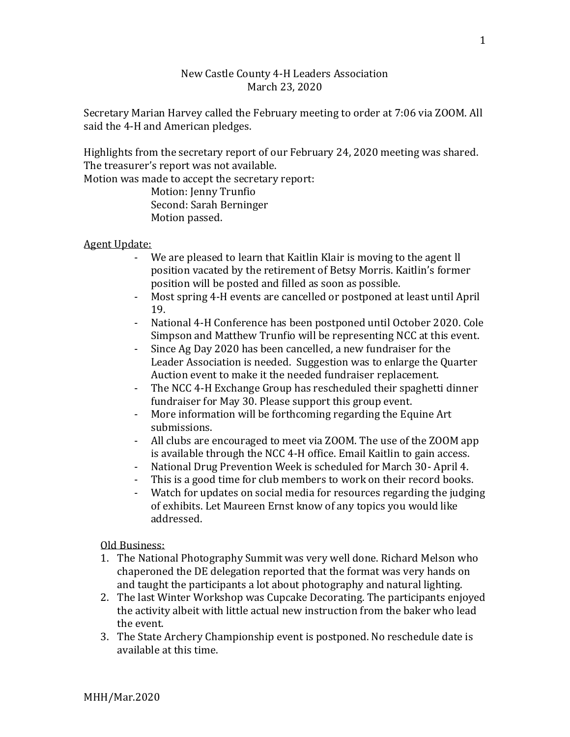## New Castle County 4-H Leaders Association March 23, 2020

Secretary Marian Harvey called the February meeting to order at 7:06 via ZOOM. All said the 4-H and American pledges.

Highlights from the secretary report of our February 24, 2020 meeting was shared. The treasurer's report was not available.

Motion was made to accept the secretary report:

Motion: Jenny Trunfio Second: Sarah Berninger Motion passed.

## Agent Update:

- We are pleased to learn that Kaitlin Klair is moving to the agent ll position vacated by the retirement of Betsy Morris. Kaitlin's former position will be posted and filled as soon as possible.
- Most spring 4-H events are cancelled or postponed at least until April 19.
- National 4-H Conference has been postponed until October 2020. Cole Simpson and Matthew Trunfio will be representing NCC at this event.
- Since Ag Day 2020 has been cancelled, a new fundraiser for the Leader Association is needed. Suggestion was to enlarge the Quarter Auction event to make it the needed fundraiser replacement.
- The NCC 4-H Exchange Group has rescheduled their spaghetti dinner fundraiser for May 30. Please support this group event.
- More information will be forthcoming regarding the Equine Art submissions.
- All clubs are encouraged to meet via ZOOM. The use of the ZOOM app is available through the NCC 4-H office. Email Kaitlin to gain access.
- National Drug Prevention Week is scheduled for March 30- April 4.
- This is a good time for club members to work on their record books.
- Watch for updates on social media for resources regarding the judging of exhibits. Let Maureen Ernst know of any topics you would like addressed.

## Old Business:

- 1. The National Photography Summit was very well done. Richard Melson who chaperoned the DE delegation reported that the format was very hands on and taught the participants a lot about photography and natural lighting.
- 2. The last Winter Workshop was Cupcake Decorating. The participants enjoyed the activity albeit with little actual new instruction from the baker who lead the event.
- 3. The State Archery Championship event is postponed. No reschedule date is available at this time.